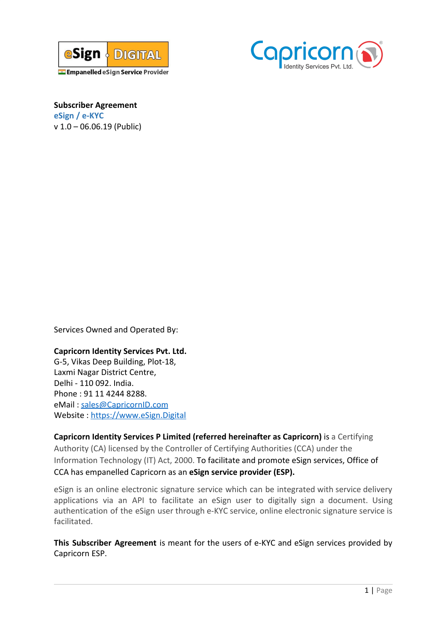



**Subscriber Agreement eSign / e-KYC** v 1.0 – 06.06.19 (Public)

Services Owned and Operated By:

## **Capricorn Identity Services Pvt. Ltd.**

G-5, Vikas Deep Building, Plot-18, Laxmi Nagar District Centre, Delhi - 110 092. India. Phone : 91 11 4244 8288. eMail : [sales@CapricornID.com](mailto:sales@CapricornID.com) Website : [https://www.eSign.Digital](https://www.esign.digital/)

**Capricorn Identity Services P Limited (referred hereinafter as Capricorn)** is a Certifying Authority (CA) licensed by the Controller of Certifying Authorities (CCA) under the Information Technology (IT) Act, 2000. To facilitate and promote eSign services, Office of CCA has empanelled Capricorn as an **eSign service provider (ESP).**

eSign is an online electronic signature service which can be integrated with service delivery applications via an API to facilitate an eSign user to digitally sign a document. Using authentication of the eSign user through e-KYC service, online electronic signature service is facilitated.

**This Subscriber Agreement** is meant for the users of e-KYC and eSign services provided by Capricorn ESP.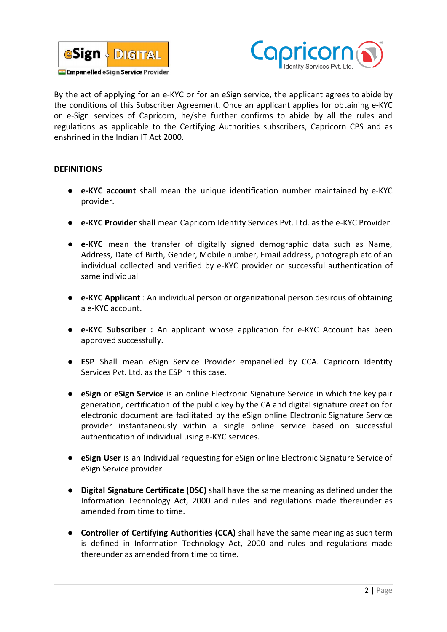



By the act of applying for an e-KYC or for an eSign service, the applicant agrees to abide by the conditions of this Subscriber Agreement. Once an applicant applies for obtaining e-KYC or e-Sign services of Capricorn, he/she further confirms to abide by all the rules and regulations as applicable to the Certifying Authorities subscribers, Capricorn CPS and as enshrined in the Indian IT Act 2000.

## **DEFINITIONS**

- **e-KYC account** shall mean the unique identification number maintained by e-KYC provider.
- **e-KYC Provider** shall mean Capricorn Identity Services Pvt. Ltd. as the e-KYC Provider.
- **e-KYC** mean the transfer of digitally signed demographic data such as Name, Address, Date of Birth, Gender, Mobile number, Email address, photograph etc of an individual collected and verified by e-KYC provider on successful authentication of same individual
- **e-KYC Applicant** : An individual person or organizational person desirous of obtaining a e-KYC account.
- **e-KYC Subscriber :** An applicant whose application for e-KYC Account has been approved successfully.
- **ESP** Shall mean eSign Service Provider empanelled by CCA. Capricorn Identity Services Pvt. Ltd. as the ESP in this case.
- **eSign** or **eSign Service** is an online Electronic Signature Service in which the key pair generation, certification of the public key by the CA and digital signature creation for electronic document are facilitated by the eSign online Electronic Signature Service provider instantaneously within a single online service based on successful authentication of individual using e-KYC services.
- **eSign User** is an Individual requesting for eSign online Electronic Signature Service of eSign Service provider
- **Digital Signature Certificate (DSC)** shall have the same meaning as defined under the Information Technology Act, 2000 and rules and regulations made thereunder as amended from time to time.
- **Controller of Certifying Authorities (CCA)** shall have the same meaning as such term is defined in Information Technology Act, 2000 and rules and regulations made thereunder as amended from time to time.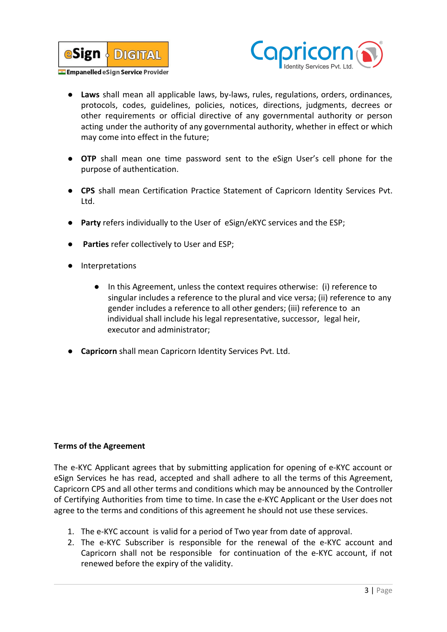



- **Laws** shall mean all applicable laws, by-laws, rules, regulations, orders, ordinances, protocols, codes, guidelines, policies, notices, directions, judgments, decrees or other requirements or official directive of any governmental authority or person acting under the authority of any governmental authority, whether in effect or which may come into effect in the future;
- **OTP** shall mean one time password sent to the eSign User's cell phone for the purpose of authentication.
- **CPS** shall mean Certification Practice Statement of Capricorn Identity Services Pvt. Ltd.
- Party refers individually to the User of eSign/eKYC services and the ESP;
- **Parties** refer collectively to User and ESP;
- Interpretations
	- In this Agreement, unless the context requires otherwise: (i) reference to singular includes a reference to the plural and vice versa; (ii) reference to any gender includes a reference to all other genders; (iii) reference to an individual shall include his legal representative, successor, legal heir, executor and administrator;
- **Capricorn** shall mean Capricorn Identity Services Pvt. Ltd.

## **Terms of the Agreement**

The e-KYC Applicant agrees that by submitting application for opening of e-KYC account or eSign Services he has read, accepted and shall adhere to all the terms of this Agreement, Capricorn CPS and all other terms and conditions which may be announced by the Controller of Certifying Authorities from time to time. In case the e-KYC Applicant or the User does not agree to the terms and conditions of this agreement he should not use these services.

- 1. The e-KYC account is valid for a period of Two year from date of approval.
- 2. The e-KYC Subscriber is responsible for the renewal of the e-KYC account and Capricorn shall not be responsible for continuation of the e-KYC account, if not renewed before the expiry of the validity.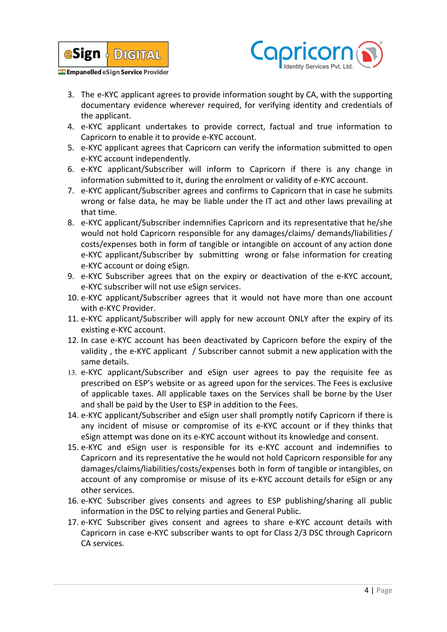



- 3. The e-KYC applicant agrees to provide information sought by CA, with the supporting documentary evidence wherever required, for verifying identity and credentials of the applicant.
- 4. e-KYC applicant undertakes to provide correct, factual and true information to Capricorn to enable it to provide e-KYC account.
- 5. e-KYC applicant agrees that Capricorn can verify the information submitted to open e-KYC account independently.
- 6. e-KYC applicant/Subscriber will inform to Capricorn if there is any change in information submitted to it, during the enrolment or validity of e-KYC account.
- 7. e-KYC applicant/Subscriber agrees and confirms to Capricorn that in case he submits wrong or false data, he may be liable under the IT act and other laws prevailing at that time.
- 8. e-KYC applicant/Subscriber indemnifies Capricorn and its representative that he/she would not hold Capricorn responsible for any damages/claims/ demands/liabilities / costs/expenses both in form of tangible or intangible on account of any action done e-KYC applicant/Subscriber by submitting wrong or false information for creating e-KYC account or doing eSign.
- 9. e-KYC Subscriber agrees that on the expiry or deactivation of the e-KYC account, e-KYC subscriber will not use eSign services.
- 10. e-KYC applicant/Subscriber agrees that it would not have more than one account with e-KYC Provider.
- 11. e-KYC applicant/Subscriber will apply for new account ONLY after the expiry of its existing e-KYC account.
- 12. In case e-KYC account has been deactivated by Capricorn before the expiry of the validity , the e-KYC applicant / Subscriber cannot submit a new application with the same details.
- 13. e-KYC applicant/Subscriber and eSign user agrees to pay the requisite fee as prescribed on ESP's website or as agreed upon for the services. The Fees is exclusive of applicable taxes. All applicable taxes on the Services shall be borne by the User and shall be paid by the User to ESP in addition to the Fees.
- 14. e-KYC applicant/Subscriber and eSign user shall promptly notify Capricorn if there is any incident of misuse or compromise of its e-KYC account or if they thinks that eSign attempt was done on its e-KYC account without its knowledge and consent.
- 15. e-KYC and eSign user is responsible for its e-KYC account and indemnifies to Capricorn and its representative the he would not hold Capricorn responsible for any damages/claims/liabilities/costs/expenses both in form of tangible or intangibles, on account of any compromise or misuse of its e-KYC account details for eSign or any other services.
- 16. e-KYC Subscriber gives consents and agrees to ESP publishing/sharing all public information in the DSC to relying parties and General Public.
- 17. e-KYC Subscriber gives consent and agrees to share e-KYC account details with Capricorn in case e-KYC subscriber wants to opt for Class 2/3 DSC through Capricorn CA services.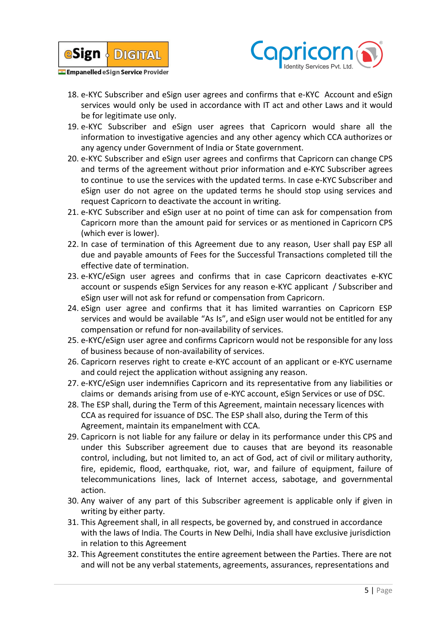



- 18. e-KYC Subscriber and eSign user agrees and confirms that e-KYC Account and eSign services would only be used in accordance with IT act and other Laws and it would be for legitimate use only.
- 19. e-KYC Subscriber and eSign user agrees that Capricorn would share all the information to investigative agencies and any other agency which CCA authorizes or any agency under Government of India or State government.
- 20. e-KYC Subscriber and eSign user agrees and confirms that Capricorn can change CPS and terms of the agreement without prior information and e-KYC Subscriber agrees to continue to use the services with the updated terms. In case e-KYC Subscriber and eSign user do not agree on the updated terms he should stop using services and request Capricorn to deactivate the account in writing.
- 21. e-KYC Subscriber and eSign user at no point of time can ask for compensation from Capricorn more than the amount paid for services or as mentioned in Capricorn CPS (which ever is lower).
- 22. In case of termination of this Agreement due to any reason, User shall pay ESP all due and payable amounts of Fees for the Successful Transactions completed till the effective date of termination.
- 23. e-KYC/eSign user agrees and confirms that in case Capricorn deactivates e-KYC account or suspends eSign Services for any reason e-KYC applicant / Subscriber and eSign user will not ask for refund or compensation from Capricorn.
- 24. eSign user agree and confirms that it has limited warranties on Capricorn ESP services and would be available "As Is", and eSign user would not be entitled for any compensation or refund for non-availability of services.
- 25. e-KYC/eSign user agree and confirms Capricorn would not be responsible for any loss of business because of non-availability of services.
- 26. Capricorn reserves right to create e-KYC account of an applicant or e-KYC username and could reject the application without assigning any reason.
- 27. e-KYC/eSign user indemnifies Capricorn and its representative from any liabilities or claims or demands arising from use of e-KYC account, eSign Services or use of DSC.
- 28. The ESP shall, during the Term of this Agreement, maintain necessary licences with CCA as required for issuance of DSC. The ESP shall also, during the Term of this Agreement, maintain its empanelment with CCA.
- 29. Capricorn is not liable for any failure or delay in its performance under this CPS and under this Subscriber agreement due to causes that are beyond its reasonable control, including, but not limited to, an act of God, act of civil or military authority, fire, epidemic, flood, earthquake, riot, war, and failure of equipment, failure of telecommunications lines, lack of Internet access, sabotage, and governmental action.
- 30. Any waiver of any part of this Subscriber agreement is applicable only if given in writing by either party.
- 31. This Agreement shall, in all respects, be governed by, and construed in accordance with the laws of India. The Courts in New Delhi, India shall have exclusive jurisdiction in relation to this Agreement
- 32. This Agreement constitutes the entire agreement between the Parties. There are not and will not be any verbal statements, agreements, assurances, representations and